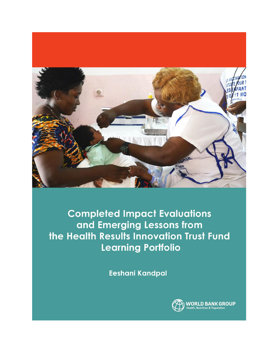

**Completed Impact Evaluations** and Emerging Lessons from the Health Results Innovation Trust Fund **Learning Portfolio** 

**Eeshani Kandpal** 

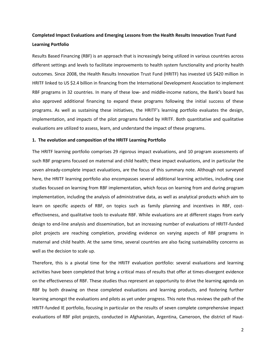## **Completed Impact Evaluations and Emerging Lessons from the Health Results Innovation Trust Fund Learning Portfolio**

Results Based Financing (RBF) is an approach that is increasingly being utilized in various countries across different settings and levels to facilitate improvements to health system functionality and priority health outcomes. Since 2008, the Health Results Innovation Trust Fund (HRITF) has invested US \$420 million in HRITF linked to US \$2.4 billion in financing from the International Development Association to implement RBF programs in 32 countries. In many of these low- and middle-income nations, the Bank's board has also approved additional financing to expand these programs following the initial success of these programs. As well as sustaining these initiatives, the HRITF's learning portfolio evaluates the design, implementation, and impacts of the pilot programs funded by HRITF. Both quantitative and qualitative evaluations are utilized to assess, learn, and understand the impact of these programs.

## **1. The evolution and composition of the HRITF Learning Portfolio**

The HRITF learning portfolio comprises 29 rigorous impact evaluations, and 10 program assessments of such RBF programs focused on maternal and child health; these impact evaluations, and in particular the seven already-complete impact evaluations, are the focus of this summary note. Although not surveyed here, the HRITF learning portfolio also encompasses several additional learning activities, including case studies focused on learning from RBF implementation, which focus on learning from and during program implementation, including the analysis of administrative data, as well as analytical products which aim to learn on specific aspects of RBF, on topics such as family planning and incentives in RBF, costeffectiveness, and qualitative tools to evaluate RBF. While evaluations are at different stages from early design to end-line analysis and dissemination, but an increasing number of evaluations of HRITF-funded pilot projects are reaching completion, providing evidence on varying aspects of RBF programs in maternal and child health. At the same time, several countries are also facing sustainability concerns as well as the decision to scale up.

Therefore, this is a pivotal time for the HRITF evaluation portfolio: several evaluations and learning activities have been completed that bring a critical mass of results that offer at times-divergent evidence on the effectiveness of RBF. These studies thus represent an opportunity to drive the learning agenda on RBF by both drawing on these completed evaluations and learning products, and fostering further learning amongst the evaluations and pilots as yet under progress. This note thus reviews the path of the HRITF-funded IE portfolio, focusing in particular on the results of seven complete comprehensive impact evaluations of RBF pilot projects, conducted in Afghanistan, Argentina, Cameroon, the district of Haut-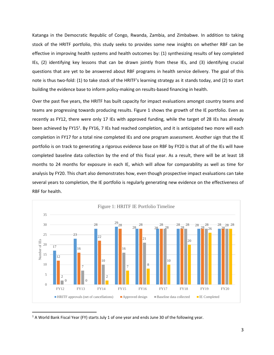Katanga in the Democratic Republic of Congo, Rwanda, Zambia, and Zimbabwe. In addition to taking stock of the HRITF portfolio, this study seeks to provides some new insights on whether RBF can be effective in improving health systems and health outcomes by: (1) synthesizing results of key completed IEs, (2) identifying key lessons that can be drawn jointly from these IEs, and (3) identifying crucial questions that are yet to be answered about RBF programs in health service delivery. The goal of this note is thus two-fold: (1) to take stock of the HRITF's learning strategy as it stands today, and (2) to start building the evidence base to inform policy-making on results-based financing in health.

Over the past five years, the HRITF has built capacity for impact evaluations amongst country teams and teams are progressing towards producing results. Figure 1 shows the growth of the IE portfolio. Even as recently as FY12, there were only 17 IEs with approved funding, while the target of 28 IEs has already been achieved by FY15<sup>1</sup>. By FY16, 7 IEs had reached completion, and it is anticipated two more will each completion in FY17 for a total nine completed IEs and one program assessment. Another sign that the IE portfolio is on track to generating a rigorous evidence base on RBF by FY20 is that all of the IEs will have completed baseline data collection by the end of this fiscal year. As a result, there will be at least 18 months to 24 months for exposure in each IE, which will allow for comparability as well as time for analysis by FY20. This chart also demonstrates how, even though prospective impact evaluations can take several years to completion, the IE portfolio is regularly generating new evidence on the effectiveness of RBF for health.



 $1A$  World Bank Fiscal Year (FY) starts July 1 of one year and ends June 30 of the following year.

 $\overline{\phantom{a}}$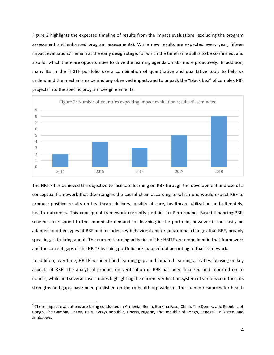Figure 2 highlights the expected timeline of results from the impact evaluations (excluding the program assessment and enhanced program assessments). While new results are expected every year, fifteen impact evaluations<sup>2</sup> remain at the early design stage, for which the timeframe still is to be confirmed, and also for which there are opportunities to drive the learning agenda on RBF more proactively. In addition, many IEs in the HRITF portfolio use a combination of quantitative and qualitative tools to help us understand the mechanisms behind any observed impact, and to unpack the "black box" of complex RBF projects into the specific program design elements.



The HRITF has achieved the objective to facilitate learning on RBF through the development and use of a conceptual framework that disentangles the causal chain according to which one would expect RBF to produce positive results on healthcare delivery, quality of care, healthcare utilization and ultimately, health outcomes. This conceptual framework currently pertains to Performance-Based Financing(PBF) schemes to respond to the immediate demand for learning in the portfolio, however it can easily be adapted to other types of RBF and includes key behavioral and organizational changes that RBF, broadly speaking, is to bring about. The current learning activities of the HRITF are embedded in that framework and the current gaps of the HRITF learning portfolio are mapped out according to that framework.

In addition, over time, HRITF has identified learning gaps and initiated learning activities focusing on key aspects of RBF. The analytical product on verification in RBF has been finalized and reported on to donors, while and several case studies highlighting the current verification system of various countries, its strengths and gaps, have been published on the rbfhealth.org website. The human resources for health

 $\overline{\phantom{a}}$ 

<sup>&</sup>lt;sup>2</sup> These impact evaluations are being conducted in Armenia, Benin, Burkina Faso, China, The Democratic Republic of Congo, The Gambia, Ghana, Haiti, Kyrgyz Republic, Liberia, Nigeria, The Republic of Congo, Senegal, Tajikistan, and Zimbabwe.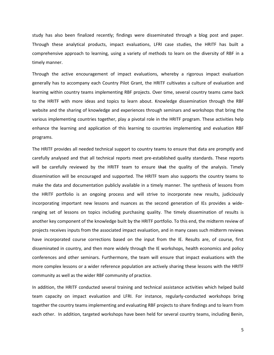study has also been finalized recently; findings were disseminated through a blog post and paper. Through these analytical products, impact evaluations, LFRI case studies, the HRITF has built a comprehensive approach to learning, using a variety of methods to learn on the diversity of RBF in a timely manner.

Through the active encouragement of impact evaluations, whereby a rigorous impact evaluation generally has to accompany each Country Pilot Grant, the HRITF cultivates a culture of evaluation and learning within country teams implementing RBF projects. Over time, several country teams came back to the HRITF with more ideas and topics to learn about. Knowledge dissemination through the RBF website and the sharing of knowledge and experiences through seminars and workshops that bring the various implementing countries together, play a pivotal role in the HRITF program. These activities help enhance the learning and application of this learning to countries implementing and evaluation RBF programs.

The HRITF provides all needed technical support to country teams to ensure that data are promptly and carefully analysed and that all technical reports meet pre-established quality standards. These reports will be carefully reviewed by the HRITF team to ensure that the quality of the analysis. Timely dissemination will be encouraged and supported. The HRITF team also supports the country teams to make the data and documentation publicly available in a timely manner. The synthesis of lessons from the HRITF portfolio is an ongoing process and will strive to incorporate new results, judiciously incorporating important new lessons and nuances as the second generation of IEs provides a wideranging set of lessons on topics including purchasing quality. The timely dissemination of results is another key component of the knowledge built by the HRITF portfolio. To this end, the midterm review of projects receives inputs from the associated impact evaluation, and in many cases such midterm reviews have incorporated course corrections based on the input from the IE. Results are, of course, first disseminated in country, and then more widely through the IE workshops, health economics and policy conferences and other seminars. Furthermore, the team will ensure that impact evaluations with the more complex lessons or a wider reference population are actively sharing these lessons with the HRITF community as well as the wider RBF community of practice.

In addition, the HRITF conducted several training and technical assistance activities which helped build team capacity on impact evaluation and LFRI. For instance, regularly-conducted workshops bring together the country teams implementing and evaluating RBF projects to share findings and to learn from each other. In addition, targeted workshops have been held for several country teams, including Benin,

5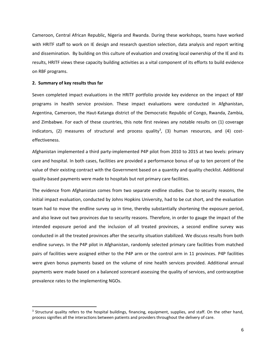Cameroon, Central African Republic, Nigeria and Rwanda. During these workshops, teams have worked with HRITF staff to work on IE design and research question selection, data analysis and report writing and dissemination. By building on this culture of evaluation and creating local ownership of the IE and its results, HRITF views these capacity building activities as a vital component of its efforts to build evidence on RBF programs.

## **2. Summary of key results thus far**

l

Seven completed impact evaluations in the HRITF portfolio provide key evidence on the impact of RBF programs in health service provision. These impact evaluations were conducted in Afghanistan, Argentina, Cameroon, the Haut-Katanga district of the Democratic Republic of Congo, Rwanda, Zambia, and Zimbabwe. For each of these countries, this note first reviews any notable results on (1) coverage indicators, (2) measures of structural and process quality<sup>3</sup>, (3) human resources, and (4) costeffectiveness.

Afghanistan implemented a third party-implemented P4P pilot from 2010 to 2015 at two levels: primary care and hospital. In both cases, facilities are provided a performance bonus of up to ten percent of the value of their existing contract with the Government based on a quantity and quality checklist. Additional quality-based payments were made to hospitals but not primary care facilities.

The evidence from Afghanistan comes from two separate endline studies. Due to security reasons, the initial impact evaluation, conducted by Johns Hopkins University, had to be cut short, and the evaluation team had to move the endline survey up in time, thereby substantially shortening the exposure period, and also leave out two provinces due to security reasons. Therefore, in order to gauge the impact of the intended exposure period and the inclusion of all treated provinces, a second endline survey was conducted in all the treated provinces after the security situation stabilized. We discuss results from both endline surveys. In the P4P pilot in Afghanistan, randomly selected primary care facilities from matched pairs of facilities were assigned either to the P4P arm or the control arm in 11 provinces. P4P facilities were given bonus payments based on the volume of nine health services provided. Additional annual payments were made based on a balanced scorecard assessing the quality of services, and contraceptive prevalence rates to the implementing NGOs.

<sup>&</sup>lt;sup>3</sup> Structural quality refers to the hospital buildings, financing, equipment, supplies, and staff. On the other hand, process signifies all the interactions between patients and providers throughout the delivery of care.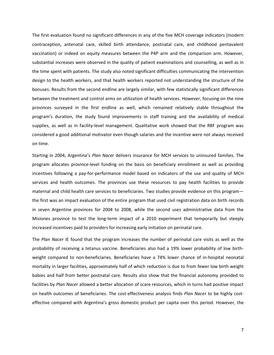The first evaluation found no significant differences in any of the five MCH coverage indicators (modern contraception, antenatal care, skilled birth attendance, postnatal care, and childhood pentavalent vaccination) or indeed on equity measures between the P4P arm and the comparison arm. However, substantial increases were observed in the quality of patient examinations and counselling, as well as in the time spent with patients. The study also noted significant difficulties communicating the intervention design to the health workers, and that health workers reported not understanding the structure of the bonuses. Results from the second endline are largely similar, with few statistically significant differences between the treatment and control arms on utilization of health services. However, focusing on the nine provinces surveyed in the first endline as well, which remained relatively stable throughout the program's duration, the study found improvements in staff training and the availability of medical supplies, as well as in facility-level management. Qualitative work showed that the RBF program was considered a good additional motivator even though salaries and the incentive were not always received on time.

Starting in 2004, Argentina's *Plan Nacer* delivers insurance for MCH services to uninsured families. The program allocates province-level funding on the basis on beneficiary enrollment as well as providing incentives following a pay-for-performance model based on indicators of the use and quality of MCH services and health outcomes. The provinces use these resources to pay health facilities to provide maternal and child health care services to beneficiaries. Two studies provide evidence on this program the first was an impact evaluation of the entire program that used civil registration data on birth records in seven Argentine provinces for 2004 to 2008, while the second uses administrative data from the Misiones province to test the long-term impact of a 2010 experiment that temporarily but steeply increased incentives paid to providers for increasing early initiation on perinatal care.

The *Plan Nacer* IE found that the program increases the number of perinatal care visits as well as the probability of receiving a tetanus vaccine. Beneficiaries also had a 19% lower probability of low birthweight compared to non-beneficiaries. Beneficiaries have a 74% lower chance of in-hospital neonatal mortality in larger facilities, approximately half of which reduction is due to from fewer low birth weight babies and half from better postnatal care. Results also show that the financial autonomy provided to facilities by *Plan Nacer* allowed a better allocation of scare resources, which in turns had positive impact on health outcomes of beneficiaries. The cost-effectiveness analysis finds *Plan Nacer* to be highly costeffective compared with Argentina's gross domestic product per capita over this period. However, the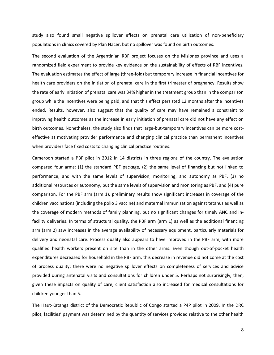study also found small negative spillover effects on prenatal care utilization of non-beneficiary populations in clinics covered by Plan Nacer, but no spillover was found on birth outcomes.

The second evaluation of the Argentinian RBF project focuses on the Misiones province and uses a randomized field experiment to provide key evidence on the sustainability of effects of RBF incentives. The evaluation estimates the effect of large (three-fold) but temporary increase in financial incentives for health care providers on the initiation of prenatal care in the first trimester of pregnancy. Results show the rate of early initiation of prenatal care was 34% higher in the treatment group than in the comparison group while the incentives were being paid, and that this effect persisted 12 months after the incentives ended. Results, however, also suggest that the quality of care may have remained a constraint to improving health outcomes as the increase in early initiation of prenatal care did not have any effect on birth outcomes. Nonetheless, the study also finds that large-but-temporary incentives can be more costeffective at motivating provider performance and changing clinical practice than permanent incentives when providers face fixed costs to changing clinical practice routines.

Cameroon started a PBF pilot in 2012 in 14 districts in three regions of the country. The evaluation compared four arms: (1) the standard PBF package, (2) the same level of financing but not linked to performance, and with the same levels of supervision, monitoring, and autonomy as PBF, (3) no additional resources or autonomy, but the same levels of supervision and monitoring as PBF, and (4) pure comparison. For the PBF arm (arm 1), preliminary results show significant increases in coverage of the children vaccinations (including the polio 3 vaccine) and maternal immunization against tetanus as well as the coverage of modern methods of family planning, but no significant changes for timely ANC and infacility deliveries. In terms of structural quality, the PBF arm (arm 1) as well as the additional financing arm (arm 2) saw increases in the average availability of necessary equipment, particularly materials for delivery and neonatal care. Process quality also appears to have improved in the PBF arm, with more qualified health workers present on site than in the other arms. Even though out-of-pocket health expenditures decreased for household in the PBF arm, this decrease in revenue did not come at the cost of process quality: there were no negative spillover effects on completeness of services and advice provided during antenatal visits and consultations for children under 5. Perhaps not surprisingly, then, given these impacts on quality of care, client satisfaction also increased for medical consultations for children younger than 5.

The Haut-Katanga district of the Democratic Republic of Congo started a P4P pilot in 2009. In the DRC pilot, facilities' payment was determined by the quantity of services provided relative to the other health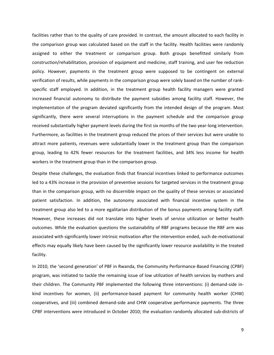facilities rather than to the quality of care provided. In contrast, the amount allocated to each facility in the comparison group was calculated based on the staff in the facility. Health facilities were randomly assigned to either the treatment or comparison group. Both groups benefitted similarly from construction/rehabilitation, provision of equipment and medicine, staff training, and user fee reduction policy. However, payments in the treatment group were supposed to be contingent on external verification of results, while payments in the comparison group were solely based on the number of rankspecific staff employed. In addition, in the treatment group health facility managers were granted increased financial autonomy to distribute the payment subsidies among facility staff. However, the implementation of the program deviated significantly from the intended design of the program. Most significantly, there were several interruptions in the payment schedule and the comparison group received substantially higher payment levels during the first six months of the two year-long intervention. Furthermore, as facilities in the treatment group reduced the prices of their services but were unable to attract more patients, revenues were substantially lower in the treatment group than the comparison group, leading to 42% fewer resources for the treatment facilities, and 34% less income for health workers in the treatment group than in the comparison group.

Despite these challenges, the evaluation finds that financial incentives linked to performance outcomes led to a 43% increase in the provision of preventive sessions for targeted services in the treatment group than in the comparison group, with no discernible impact on the quality of these services or associated patient satisfaction. In addition, the autonomy associated with financial incentive system in the treatment group also led to a more egalitarian distribution of the bonus payments among facility staff. However, these increases did not translate into higher levels of service utilization or better health outcomes. While the evaluation questions the sustainability of RBF programs because the RBF arm was associated with significantly lower intrinsic motivation after the intervention ended, such de-motivational effects may equally likely have been caused by the significantly lower resource availability in the treated facility.

In 2010, the 'second generation' of PBF in Rwanda, the Community Performance-Based Financing (CPBF) program, was initiated to tackle the remaining issue of low utilization of health services by mothers and their children. The Community PBF implemented the following three interventions: (i) demand-side inkind incentives for women, (ii) performance-based payment for community health worker (CHW) cooperatives, and (iii) combined demand-side and CHW cooperative performance payments. The three CPBF interventions were introduced in October 2010; the evaluation randomly allocated sub-districts of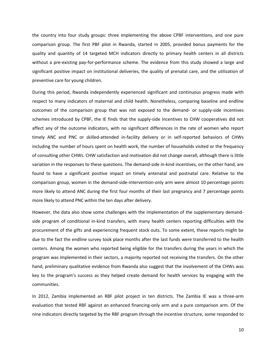the country into four study groups: three implementing the above CPBF interventions, and one pure comparison group. The first PBF pilot in Rwanda, started in 2005, provided bonus payments for the quality and quantity of 14 targeted MCH indicators directly to primary health centers in all districts without a pre-existing pay-for-performance scheme. The evidence from this study showed a large and significant positive impact on institutional deliveries, the quality of prenatal care, and the utilization of preventive care for young children.

During this period, Rwanda independently experienced significant and continuous progress made with respect to many indicators of maternal and child health. Nonetheless, comparing baseline and endline outcomes of the comparison group that was not exposed to the demand- or supply-side incentives schemes introduced by CPBF, the IE finds that the supply-side incentives to CHW cooperatives did not affect any of the outcome indicators, with no significant differences in the rate of women who report timely ANC and PNC or skilled-attended in-facility delivery or in self-reported behaviors of CHWs including the number of hours spent on health work, the number of households visited or the frequency of consulting other CHWs. CHW satisfaction and motivation did not change overall, although there is little variation in the responses to these questions. The demand-side in-kind incentives, on the other hand, are found to have a significant positive impact on timely antenatal and postnatal care. Relative to the comparison group, women in the demand-side-intervention-only arm were almost 10 percentage points more likely to attend ANC during the first four months of their last pregnancy and 7 percentage points more likely to attend PNC within the ten days after delivery.

However, the data also show some challenges with the implementation of the supplementary demandside program of conditional in-kind transfers, with many health centers reporting difficulties with the procurement of the gifts and experiencing frequent stock outs. To some extent, these reports might be due to the fact the endline survey took place months after the last funds were transferred to the health centers. Among the women who reported being eligible for the transfers during the years in which the program was implemented in their sectors, a majority reported not receiving the transfers. On the other hand, preliminary qualitative evidence from Rwanda also suggest that the involvement of the CHWs was key to the program's success as they helped create demand for health services by engaging with the communities.

In 2012, Zambia implemented an RBF pilot project in ten districts. The Zambia IE was a three-arm evaluation that tested RBF against an enhanced financing-only arm and a pure comparison arm. Of the nine indicators directly targeted by the RBF program through the incentive structure, some responded to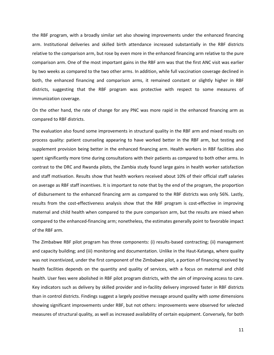the RBF program, with a broadly similar set also showing improvements under the enhanced financing arm. Institutional deliveries and skilled birth attendance increased substantially in the RBF districts relative to the comparison arm, but rose by even more in the enhanced financing arm relative to the pure comparison arm. One of the most important gains in the RBF arm was that the first ANC visit was earlier by two weeks as compared to the two other arms. In addition, while full vaccination coverage declined in both, the enhanced financing and comparison arms, it remained constant or slightly higher in RBF districts, suggesting that the RBF program was protective with respect to some measures of immunization coverage.

On the other hand, the rate of change for any PNC was more rapid in the enhanced financing arm as compared to RBF districts.

The evaluation also found some improvements in structural quality in the RBF arm and mixed results on process quality: patient counseling appearing to have worked better in the RBF arm, but testing and supplement provision being better in the enhanced financing arm. Health workers in RBF facilities also spent significantly more time during consultations with their patients as compared to both other arms. In contrast to the DRC and Rwanda pilots, the Zambia study found large gains in health worker satisfaction and staff motivation. Results show that health workers received about 10% of their official staff salaries on average as RBF staff incentives. It is important to note that by the end of the program, the proportion of disbursement to the enhanced financing arm as compared to the RBF districts was only 56%. Lastly, results from the cost-effectiveness analysis show that the RBF program is cost-effective in improving maternal and child health when compared to the pure comparison arm, but the results are mixed when compared to the enhanced-financing arm; nonetheless, the estimates generally point to favorable impact of the RBF arm.

The Zimbabwe RBF pilot program has three components: (i) results-based contracting; (ii) management and capacity building; and (iii) monitoring and documentation. Unlike in the Haut-Katanga, where quality was not incentivized, under the first component of the Zimbabwe pilot, a portion of financing received by health facilities depends on the quantity and quality of services, with a focus on maternal and child health. User fees were abolished in RBF pilot program districts, with the aim of improving access to care. Key indicators such as delivery by skilled provider and in-facility delivery improved faster in RBF districts than in control districts. Findings suggest a largely positive message around quality with *some* dimensions showing significant improvements under RBF, but not others: improvements were observed for selected measures of structural quality, as well as increased availability of certain equipment. Conversely, for both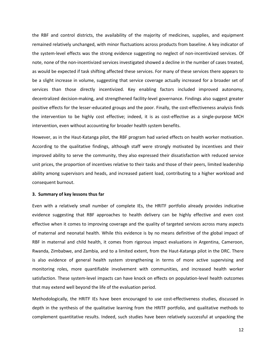the RBF and control districts, the availability of the majority of medicines, supplies, and equipment remained relatively unchanged, with minor fluctuations across products from baseline. A key indicator of the system-level effects was the strong evidence suggesting no neglect of non-incentivized services. Of note, none of the non-incentivized services investigated showed a decline in the number of cases treated, as would be expected if task shifting affected these services. For many of these services there appears to be a slight increase in volume, suggesting that service coverage actually increased for a broader set of services than those directly incentivized. Key enabling factors included improved autonomy, decentralized decision-making, and strengthened facility-level governance. Findings also suggest greater positive effects for the lesser-educated groups and the poor. Finally, the cost-effectiveness analysis finds the intervention to be highly cost effective; indeed, it is as cost-effective as a single-purpose MCH intervention, even without accounting for broader health system benefits.

However, as in the Haut-Katanga pilot, the RBF program had varied effects on health worker motivation. According to the qualitative findings, although staff were strongly motivated by incentives and their improved ability to serve the community, they also expressed their dissatisfaction with reduced service unit prices, the proportion of incentives relative to their tasks and those of their peers, limited leadership ability among supervisors and heads, and increased patient load, contributing to a higher workload and consequent burnout.

## **3. Summary of key lessons thus far**

Even with a relatively small number of complete IEs, the HRITF portfolio already provides indicative evidence suggesting that RBF approaches to health delivery can be highly effective and even cost effective when it comes to improving coverage and the quality of targeted services across many aspects of maternal and neonatal health. While this evidence is by no means definitive of the global impact of RBF in maternal and child health, it comes from rigorous impact evaluations in Argentina, Cameroon, Rwanda, Zimbabwe, and Zambia, and to a limited extent, from the Haut-Katanga pilot in the DRC. There is also evidence of general health system strengthening in terms of more active supervising and monitoring roles, more quantifiable involvement with communities, and increased health worker satisfaction. These system-level impacts can have knock on effects on population-level health outcomes that may extend well beyond the life of the evaluation period.

Methodologically, the HRITF IEs have been encouraged to use cost-effectiveness studies, discussed in depth in the synthesis of the qualitative learning from the HRITF portfolio, and qualitative methods to complement quantitative results. Indeed, such studies have been relatively successful at unpacking the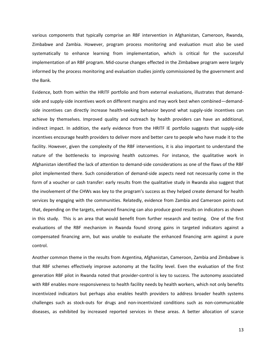various components that typically comprise an RBF intervention in Afghanistan, Cameroon, Rwanda, Zimbabwe and Zambia. However, program process monitoring and evaluation must also be used systematically to enhance learning from implementation, which is critical for the successful implementation of an RBF program. Mid-course changes effected in the Zimbabwe program were largely informed by the process monitoring and evaluation studies jointly commissioned by the government and the Bank.

Evidence, both from within the HRITF portfolio and from external evaluations, illustrates that demandside and supply-side incentives work on different margins and may work best when combined—demandside incentives can directly increase health-seeking behavior beyond what supply-side incentives can achieve by themselves. Improved quality and outreach by health providers can have an additional, indirect impact. In addition, the early evidence from the HRITF IE portfolio suggests that supply-side incentives encourage health providers to deliver more and better care to people who have made it to the facility. However, given the complexity of the RBF interventions, it is also important to understand the nature of the bottlenecks to improving health outcomes. For instance, the qualitative work in Afghanistan identified the lack of attention to demand-side considerations as one of the flaws of the RBF pilot implemented there. Such consideration of demand-side aspects need not necessarily come in the form of a voucher or cash transfer: early results from the qualitative study in Rwanda also suggest that the involvement of the CHWs was key to the program's success as they helped create demand for health services by engaging with the communities. Relatedly, evidence from Zambia and Cameroon points out that, depending on the targets, enhanced financing can also produce good results on indicators as shown in this study. This is an area that would benefit from further research and testing. One of the first evaluations of the RBF mechanism in Rwanda found strong gains in targeted indicators against a compensated financing arm, but was unable to evaluate the enhanced financing arm against a pure control.

Another common theme in the results from Argentina, Afghanistan, Cameroon, Zambia and Zimbabwe is that RBF schemes effectively improve autonomy at the facility level. Even the evaluation of the first generation RBF pilot in Rwanda noted that provider-control is key to success. The autonomy associated with RBF enables more responsiveness to health facility needs by health workers, which not only benefits incentivized indicators but perhaps also enables health providers to address broader health systems challenges such as stock-outs for drugs and non-incentivized conditions such as non-communicable diseases, as exhibited by increased reported services in these areas. A better allocation of scarce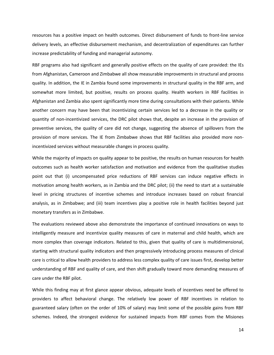resources has a positive impact on health outcomes. Direct disbursement of funds to front-line service delivery levels, an effective disbursement mechanism, and decentralization of expenditures can further increase predictability of funding and managerial autonomy.

RBF programs also had significant and generally positive effects on the quality of care provided: the IEs from Afghanistan, Cameroon and Zimbabwe all show measurable improvements in structural and process quality. In addition, the IE in Zambia found some improvements in structural quality in the RBF arm, and somewhat more limited, but positive, results on process quality. Health workers in RBF facilities in Afghanistan and Zambia also spent significantly more time during consultations with their patients. While another concern may have been that incentivizing certain services led to a decrease in the quality or quantity of non-incentivized services, the DRC pilot shows that, despite an increase in the provision of preventive services, the quality of care did not change, suggesting the absence of spillovers from the provision of more services. The IE from Zimbabwe shows that RBF facilities also provided more nonincentivized services without measurable changes in process quality.

While the majority of impacts on quality appear to be positive, the results on human resources for health outcomes such as health worker satisfaction and motivation and evidence from the qualitative studies point out that (i) uncompensated price reductions of RBF services can induce negative effects in motivation among health workers, as in Zambia and the DRC pilot; (ii) the need to start at a sustainable level in pricing structures of incentive schemes and introduce increases based on robust financial analysis, as in Zimbabwe; and (iii) team incentives play a positive role in health facilities beyond just monetary transfers as in Zimbabwe.

The evaluations reviewed above also demonstrate the importance of continued innovations on ways to intelligently measure and incentivize quality measures of care in maternal and child health, which are more complex than coverage indicators. Related to this, given that quality of care is multidimensional, starting with structural quality indicators and then progressively introducing process measures of clinical care is critical to allow health providers to address less complex quality of care issues first, develop better understanding of RBF and quality of care, and then shift gradually toward more demanding measures of care under the RBF pilot.

While this finding may at first glance appear obvious, adequate levels of incentives need be offered to providers to affect behavioral change. The relatively low power of RBF incentives in relation to guaranteed salary (often on the order of 10% of salary) may limit some of the possible gains from RBF schemes. Indeed, the strongest evidence for sustained impacts from RBF comes from the Misiones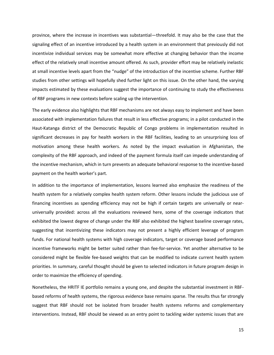province, where the increase in incentives was substantial—threefold. It may also be the case that the signaling effect of an incentive introduced by a health system in an environment that previously did not incentivize individual services may be somewhat more effective at changing behavior than the income effect of the relatively small incentive amount offered. As such, provider effort may be relatively inelastic at small incentive levels apart from the "nudge" of the introduction of the incentive scheme. Further RBF studies from other settings will hopefully shed further light on this issue. On the other hand, the varying impacts estimated by these evaluations suggest the importance of continuing to study the effectiveness of RBF programs in new contexts before scaling up the intervention.

The early evidence also highlights that RBF mechanisms are not always easy to implement and have been associated with implementation failures that result in less effective programs; in a pilot conducted in the Haut-Katanga district of the Democratic Republic of Congo problems in implementation resulted in significant decreases in pay for health workers in the RBF facilities, leading to an unsurprising loss of motivation among these health workers. As noted by the impact evaluation in Afghanistan, the complexity of the RBF approach, and indeed of the payment formula itself can impede understanding of the incentive mechanism, which in turn prevents an adequate behavioral response to the incentive-based payment on the health worker's part.

In addition to the importance of implementation, lessons learned also emphasize the readiness of the health system for a relatively complex health system reform. Other lessons include the judicious use of financing incentives as spending efficiency may not be high if certain targets are universally or nearuniversally provided: across all the evaluations reviewed here, some of the coverage indicators that exhibited the lowest degree of change under the RBF also exhibited the highest baseline coverage rates, suggesting that incentivizing these indicators may not present a highly efficient leverage of program funds. For national health systems with high coverage indicators, target or coverage based performance incentive frameworks might be better suited rather than fee-for-service. Yet another alternative to be considered might be flexible fee-based weights that can be modified to indicate current health system priorities. In summary, careful thought should be given to selected indicators in future program design in order to maximize the efficiency of spending.

Nonetheless, the HRITF IE portfolio remains a young one, and despite the substantial investment in RBFbased reforms of health systems, the rigorous evidence base remains sparse. The results thus far strongly suggest that RBF should not be isolated from broader health systems reforms and complementary interventions. Instead, RBF should be viewed as an entry point to tackling wider systemic issues that are